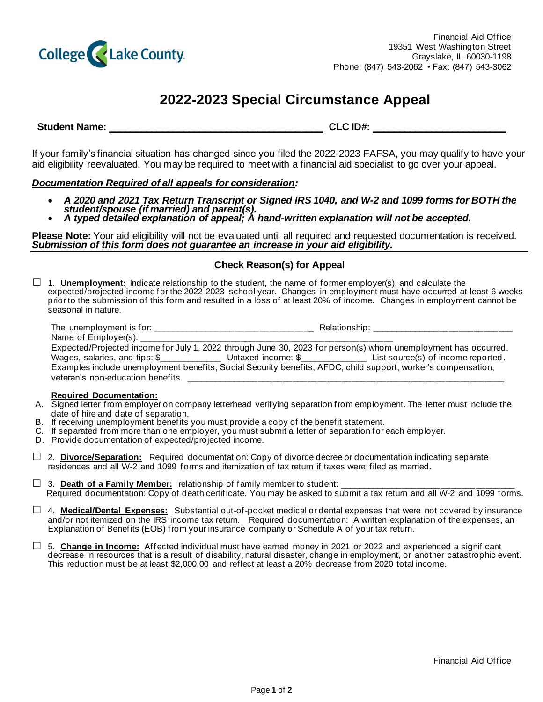

# **2022-2023 Special Circumstance Appeal**

**Student Name: \_\_\_\_\_\_\_\_\_\_\_\_\_\_\_\_\_\_\_\_\_\_\_\_\_\_\_\_\_\_\_\_\_\_\_\_\_\_\_\_ CLC ID#: \_\_\_\_\_\_\_\_\_\_\_\_\_\_\_\_\_\_\_\_\_\_\_\_\_** 

If your family's financial situation has changed since you filed the 2022-2023 FAFSA, you may qualify to have your aid eligibility reevaluated. You may be required to meet with a financial aid specialist to go over your appeal.

# *Documentation Required of all appeals for consideration:*

- *A 2020 and 2021 Tax Return Transcript or Signed IRS 1040, and W-2 and 1099 forms for BOTH the student/spouse (if married) and parent(s).*
- *A typed detailed explanation of appeal; A hand-written explanation will not be accepted.*

**Please Note:** Your aid eligibility will not be evaluated until all required and requested documentation is received. *Submission of this form does not guarantee an increase in your aid eligibility.*

# **Check Reason(s) for Appeal**

□ 1. **Unemployment:** Indicate relationship to the student, the name of former employer(s), and calculate the expected/projected income for the 2022-2023 school year. Changes in employment must have occurred at least 6 weeks prior to the submission of this form and resulted in a loss of at least 20% of income. Changes in employment cannot be seasonal in nature.

| The unemployment is for: $\frac{1}{2}$ $\frac{1}{2}$ $\frac{1}{2}$ $\frac{1}{2}$ $\frac{1}{2}$ $\frac{1}{2}$ $\frac{1}{2}$ $\frac{1}{2}$ $\frac{1}{2}$ $\frac{1}{2}$ $\frac{1}{2}$ $\frac{1}{2}$ $\frac{1}{2}$ $\frac{1}{2}$ $\frac{1}{2}$ $\frac{1}{2}$ $\frac{1}{2}$ $\frac{1}{2}$ $\frac{1}{2}$ $\frac{1}{$ | Relationship: The contract of the contract of the contract of the contract of the contract of the contract of the contract of the contract of the contract of the contract of the contract of the contract of the contract of |  |  |
|----------------------------------------------------------------------------------------------------------------------------------------------------------------------------------------------------------------------------------------------------------------------------------------------------------------|-------------------------------------------------------------------------------------------------------------------------------------------------------------------------------------------------------------------------------|--|--|
|                                                                                                                                                                                                                                                                                                                |                                                                                                                                                                                                                               |  |  |
| Expected/Projected income for July 1, 2022 through June 30, 2023 for person(s) whom unemployment has occurred.                                                                                                                                                                                                 |                                                                                                                                                                                                                               |  |  |
| Wages, salaries, and tips: \$                                                                                                                                                                                                                                                                                  |                                                                                                                                                                                                                               |  |  |
| Examples include unemployment benefits, Social Security benefits, AFDC, child support, worker's compensation,                                                                                                                                                                                                  |                                                                                                                                                                                                                               |  |  |
| veteran's non-education benefits.                                                                                                                                                                                                                                                                              |                                                                                                                                                                                                                               |  |  |

## **Required Documentation:**

- A. Signed letter from employer on company letterhead verifying separation from employment. The letter must include the date of hire and date of separation.
- B. If receiving unemployment benefits you must provide a copy of the benefit statement.
- C. If separated from more than one employer, you must submit a letter of separation for each employer.
- D. Provide documentation of expected/projected income.
- □ 2. **Divorce/Separation:** Required documentation: Copy of divorce decree or documentation indicating separate residences and all W-2 and 1099 forms and itemization of tax return if taxes were filed as married.
- $\Box$  3. **Death of a Family Member:** relationship of family member to student: Required documentation: Copy of death certificate. You may be asked to submit a tax return and all W-2 and 1099 forms.
- □ 4. **Medical/Dental Expenses:** Substantial out-of-pocket medical or dental expenses that were not covered by insurance and/or not itemized on the IRS income tax return. Required documentation: A written explanation of the expenses, an Explanation of Benefits (EOB) from your insurance company or Schedule A of your tax return.
- □ 5. **Change in Income:** Affected individual must have earned money in 2021 or 2022 and experienced a significant decrease in resources that is a result of disability, natural disaster, change in employment, or another catastrophic event. This reduction must be at least \$2,000.00 and reflect at least a 20% decrease from 2020 total income.